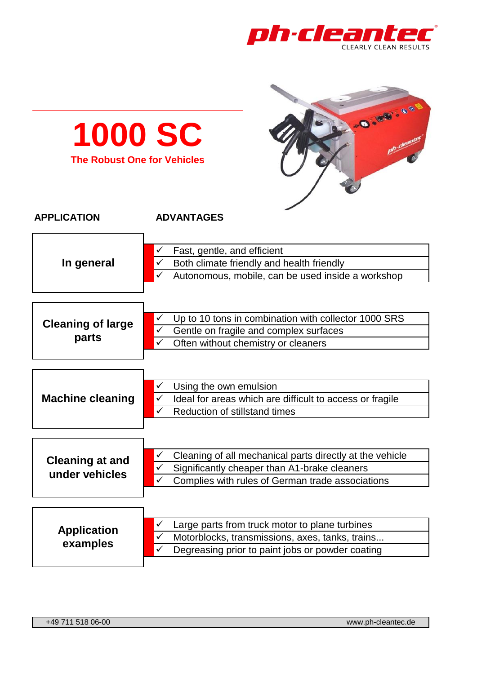